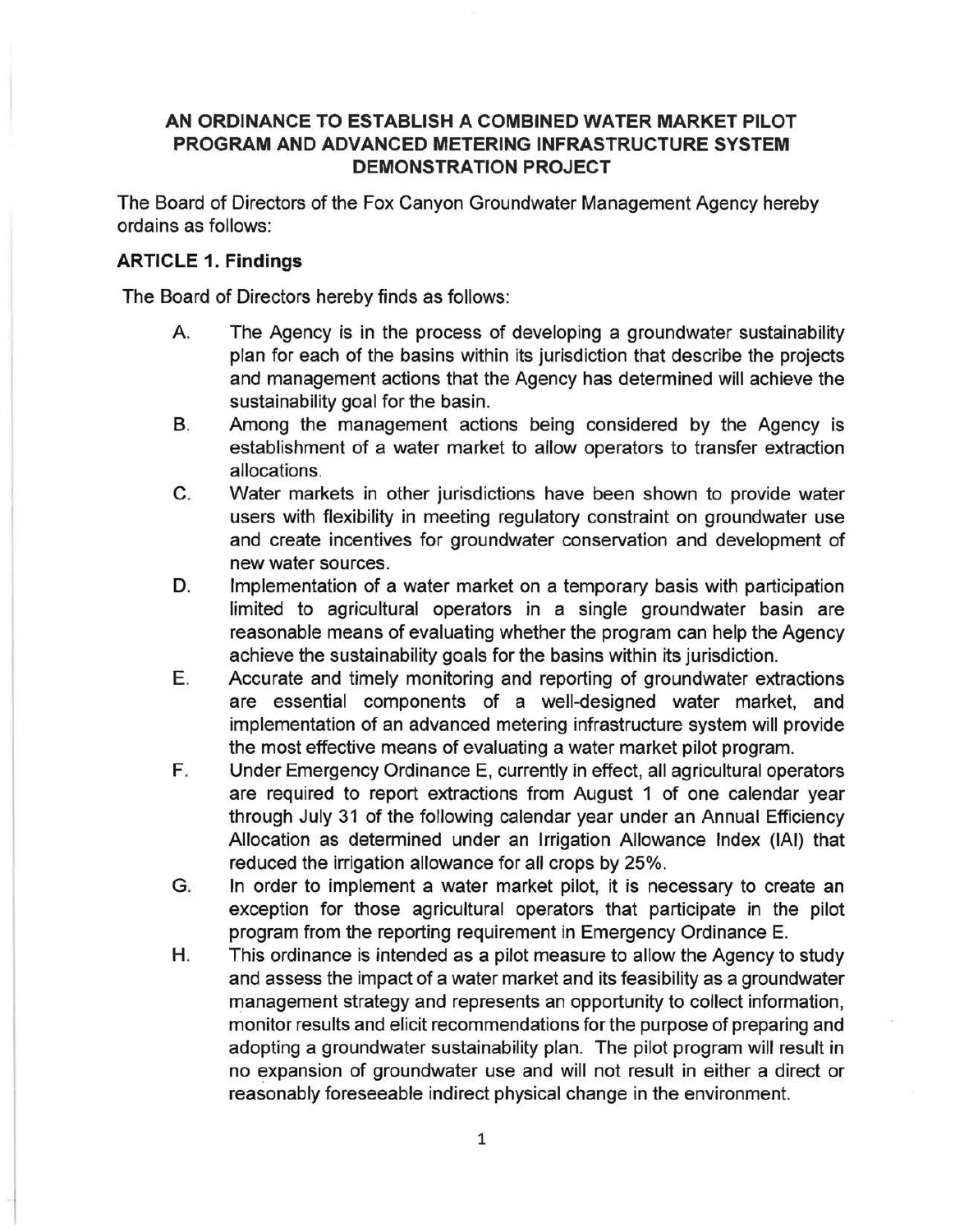# **AN ORDINANCE TO ESTABLISH A COMBINED WATER MARKET PILOT PROGRAM AND ADVANCED METERING INFRASTRUCTURE SYSTEM DEMONSTRATION PROJECT**

The Board of Directors of the Fox Canyon Groundwater Management Agency hereby ordains as follows:

# **ARTICLE 1. Findings**

The Board of Directors hereby finds as follows:

- A. The Agency is in the process of developing a groundwater sustainability plan for each of the basins within its jurisdiction that describe the projects and management actions that the Agency has determined will achieve the sustainability goal for the basin.
- B. Among the management actions being considered by the Agency is establishment of a water market to allow operators to transfer extraction allocations.
- C. Water markets in other jurisdictions have been shown to provide water users with flexibility in meeting regulatory constraint on groundwater use and create incentives for groundwater conservation and development of new water sources.
- D. Implementation of a water market on a temporary basis with participation limited to agricultural operators in a single groundwater basin are reasonable means of evaluating whether the program can help the Agency achieve the sustainability goals for the basins within its jurisdiction.
- E. Accurate and timely monitoring and reporting of groundwater extractions are essential components of a well-designed water market, and implementation of an advanced metering infrastructure system will provide the most effective means of evaluating a water market pilot program.
- F. Under Emergency Ordinance E, currently in effect, all agricultural operators are required to report extractions from August 1 of one calendar year through July 31 of the following calendar year under an Annual Efficiency Allocation as determined under an Irrigation Allowance Index (IAI) that reduced the irrigation allowance for all crops by 25%.
- G. In order to implement a water market pilot, it is necessary to create an exception for those agricultural operators that participate in the pilot program from the reporting requirement in Emergency Ordinance E.
- H. This ordinance is intended as a pilot measure to allow the Agency to study and assess the impact of a water market and its feasibility as a groundwater management strategy and represents an opportunity to collect information, monitor results and elicit recommendations for the purpose of preparing and adopting a groundwater sustainability plan. The pilot program will result in no expansion of groundwater use and will not result in either a direct or reasonably foreseeable indirect physical change in the environment.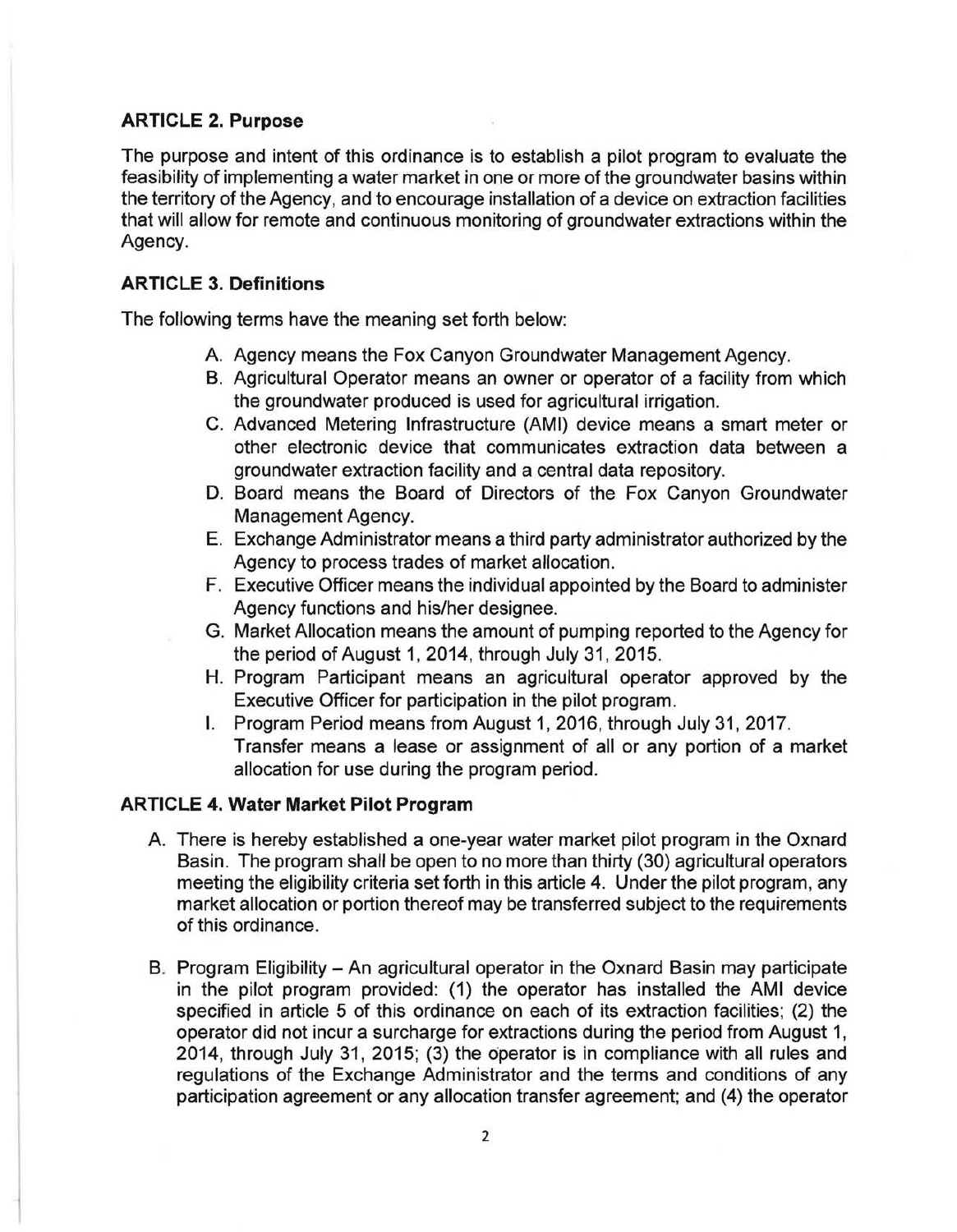# **ARTICLE 2. Purpose**

The purpose and intent of this ordinance is to establish a pilot program to evaluate the feasibility of implementing a water market in one or more of the groundwater basins within the territory of the Agency, and to encourage installation of a device on extraction facilities that will allow for remote and continuous monitoring of groundwater extractions within the Agency.

# **ARTICLE 3. Definitions**

The following terms have the meaning set forth below:

- A. Agency means the Fox Canyon Groundwater Management Agency.
- B. Agricultural Operator means an owner or operator of a facility from which the groundwater produced is used for agricultural irrigation.
- C. Advanced Metering Infrastructure (AMI) device means a smart meter or other electronic device that communicates extraction data between a groundwater extraction facility and a central data repository.
- D. Board means the Board of Directors of the Fox Canyon Groundwater Management Agency.
- E. Exchange Administrator means a third party administrator authorized by the Agency to process trades of market allocation.
- F. Executive Officer means the individual appointed by the Board to administer Agency functions and his/her designee.
- G. Market Allocation means the amount of pumping reported to the Agency for the period of August 1, 2014, through July 31, 2015.
- H. Program Participant means an agricultural operator approved by the Executive Officer for participation in the pilot program.
- I. Program Period means from August 1, 2016, through July 31, 2017. Transfer means a lease or assignment of all or any portion of a market allocation for use during the program period.

# **ARTICLE 4. Water Market Pilot Program**

- A There is hereby established a one-year water market pilot program in the Oxnard Basin. The program shall be open to no more than thirty (30) agricultural operators meeting the eligibility criteria set forth in this article 4. Under the pilot program, any market allocation or portion thereof may be transferred subject to the requirements of this ordinance.
- B. Program Eligibility An agricultural operator in the Oxnard Basin may participate in the pilot program provided: (1) the operator has installed the AMI device specified in article 5 of this ordinance on each of its extraction facilities; (2) the operator did not incur a surcharge for extractions during the period from August 1, 2014, through July 31, 2015; (3) the operator is in compliance with all rules and regulations of the Exchange Administrator and the terms and conditions of any participation agreement or any allocation transfer agreement; and (4) the operator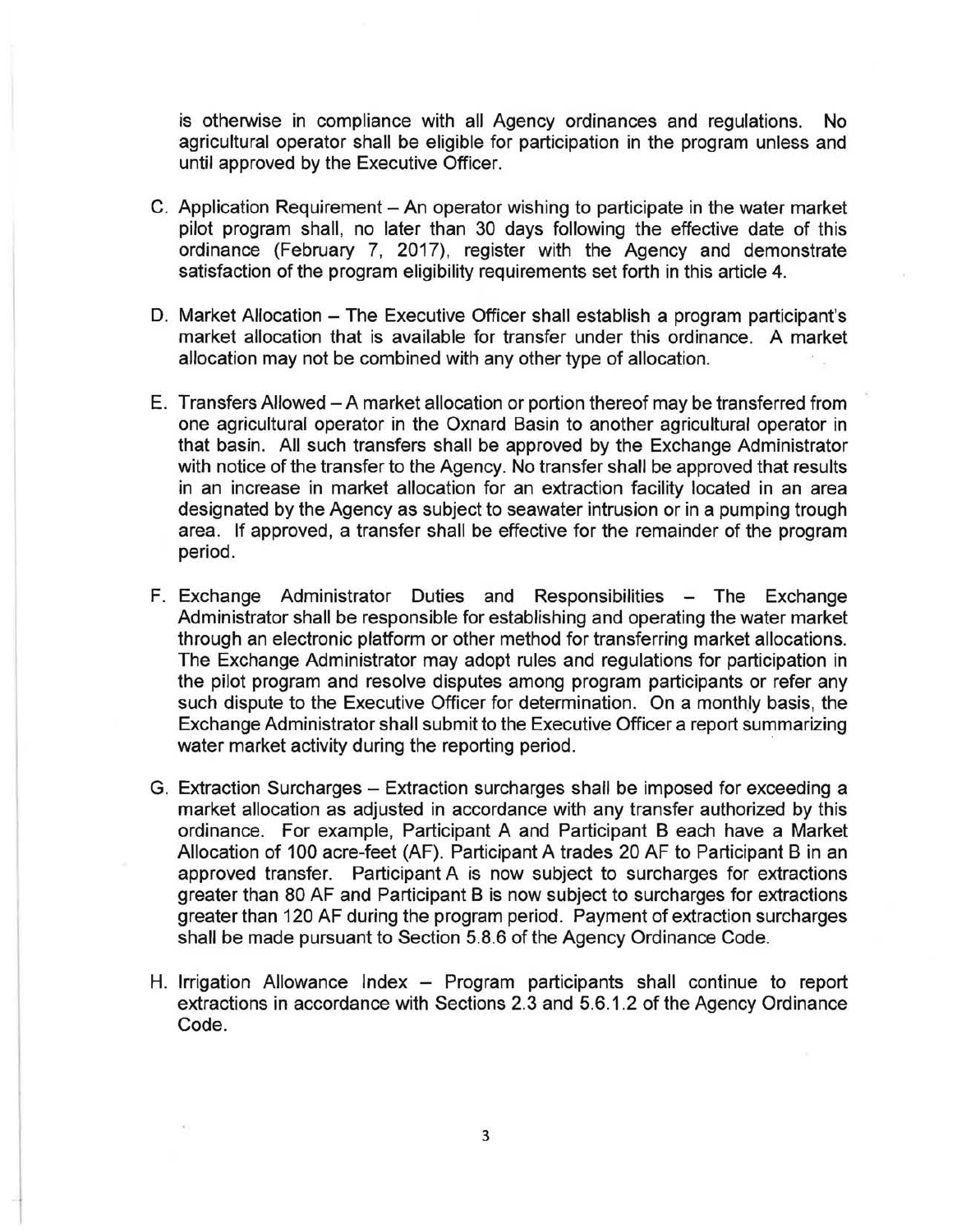is otherwise in compliance with all Agency ordinances and regulations. No agricultural operator shall be eligible for participation in the program unless and until approved by the Executive Officer.

- C. Application Requirement An operator wishing to participate in the water market pilot program shall, no later than 30 days following the effective date of this ordinance (February 7, 2017), register with the Agency and demonstrate satisfaction of the program eligibility requirements set forth in this article 4.
- D. Market Allocation The Executive Officer shall establish a program participant's market allocation that is available for transfer under this ordinance. A market allocation may not be combined with any other type of allocation.
- E. Transfers Allowed A market allocation or portion thereof may be transferred from one agricultural operator in the Oxnard Basin to another agricultural operator in that basin. All such transfers shall be approved by the Exchange Administrator with notice of the transfer to the Agency. No transfer shall be approved that results in an increase in market allocation for an extraction facility located in an area designated by the Agency as subject to seawater intrusion or in a pumping trough area. If approved, a transfer shall be effective for the remainder of the program period.
- F. Exchange Administrator Duties and Responsibilities The Exchange Administrator shall be responsible for establishing and operating the water market through an electronic platform or other method for transferring market allocations. The Exchange Administrator may adopt rules and regulations for participation in the pilot program and resolve disputes among program participants or refer any such dispute to the Executive Officer for determination. On a monthly basis, the Exchange Administrator shall submit to the Executive Officer a report summarizing water market activity during the reporting period.
- G. Extraction Surcharges Extraction surcharges shall be imposed for exceeding a market allocation as adjusted in accordance with any transfer authorized by this ordinance. For example, Participant A and Participant B each have a Market Allocation of 100 acre-feet (AF). Participant A trades 20 AF to Participant B in an approved transfer. Participant A is now subject to surcharges for extractions greater than 80 AF and Participant B is now subject to surcharges for extractions greater than 120 AF during the program period. Payment of extraction surcharges shall be made pursuant to Section 5.8.6 of the Agency Ordinance Code.
- H. Irrigation Allowance Index Program participants shall continue to report extractions in accordance with Sections 2.3 and 5.6.1.2 of the Agency Ordinance Code.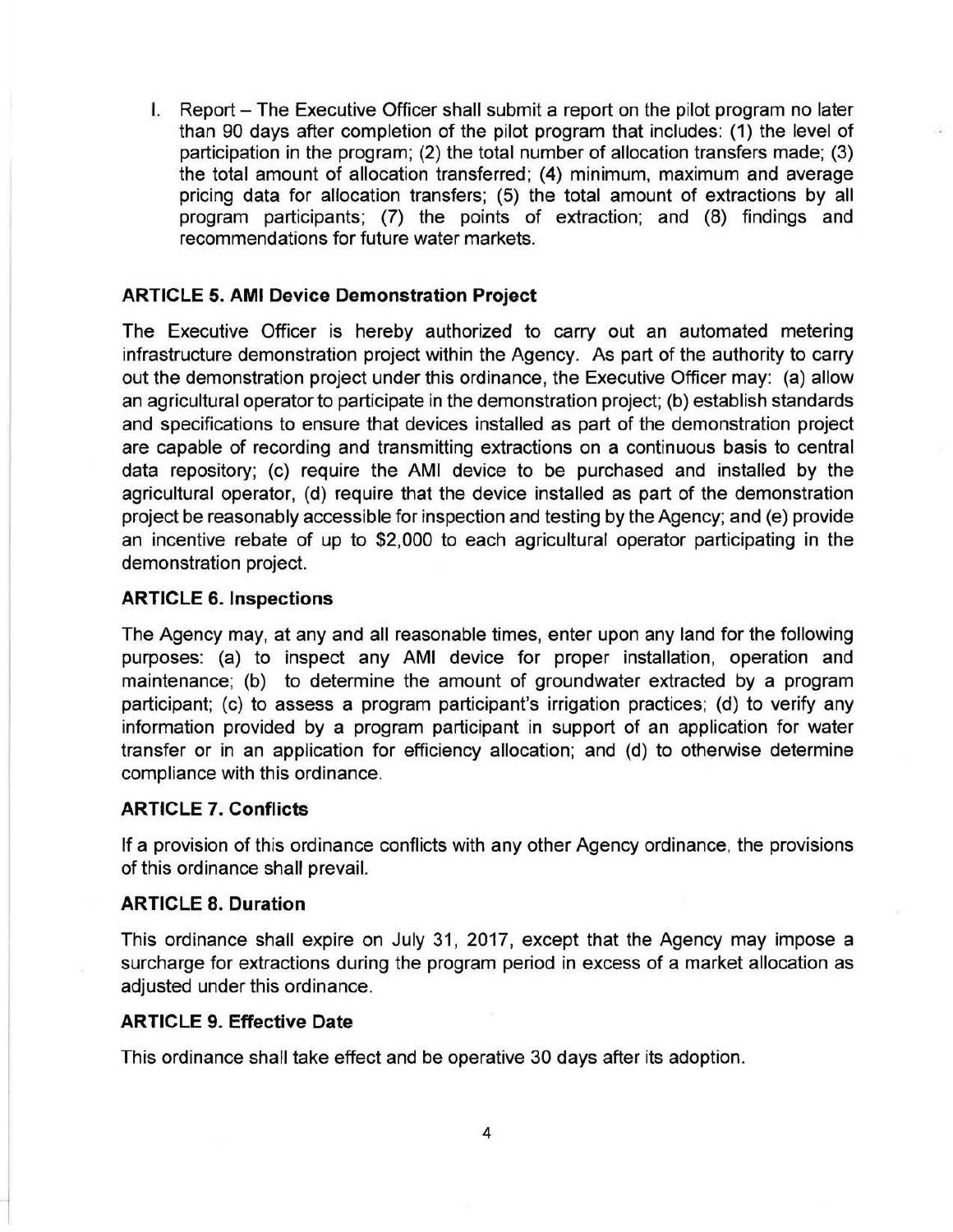I. Report – The Executive Officer shall submit a report on the pilot program no later than 90 days after completion of the pilot program that includes: (1) the level of participation in the program; (2) the total number of allocation transfers made; (3) the total amount of allocation transferred; (4) minimum, maximum and average pricing data for allocation transfers; (5) the total amount of extractions by all program participants; (7) the points of extraction; and (8) findings and recommendations for future water markets.

### **ARTICLE 5. AMI Device Demonstration Project**

The Executive Officer is hereby authorized to carry out an automated metering infrastructure demonstration project within the Agency. As part of the authority to carry out the demonstration project under this ordinance, the Executive Officer may: (a) allow an agricultural operator to participate in the demonstration project; (b) establish standards and specifications to ensure that devices installed as part of the demonstration project are capable of recording and transmitting extractions on a continuous basis to central data repository; (c) require the AMI device to be purchased and installed by the agricultural operator, (d) require that the device installed as part of the demonstration project be reasonably accessible for inspection and testing by the Agency; and (e) provide an incentive rebate of up to \$2,000 to each agricultural operator participating in the demonstration project.

#### **ARTICLE 6. Inspections**

The Agency may, at any and all reasonable times, enter upon any land for the following purposes: (a) to inspect any AMI device for proper installation, operation and maintenance; (b) to determine the amount of groundwater extracted by a program participant; (c) to assess a program participant's irrigation practices; (d) to verify any information provided by a program participant in support of an application for water transfer or in an application for efficiency allocation; and (d) to otherwise determine compliance with this ordinance.

### **ARTICLE 7. Conflicts**

If a provision of this ordinance conflicts with any other Agency ordinance, the provisions of this ordinance shall prevail.

### **ARTICLE 8. Duration**

This ordinance shall expire on July 31, 2017, except that the Agency may impose a surcharge for extractions during the program period in excess of a market allocation as adjusted under this ordinance.

### **ARTICLE 9. Effective Date**

This ordinance shall take effect and be operative 30 days after its adoption.